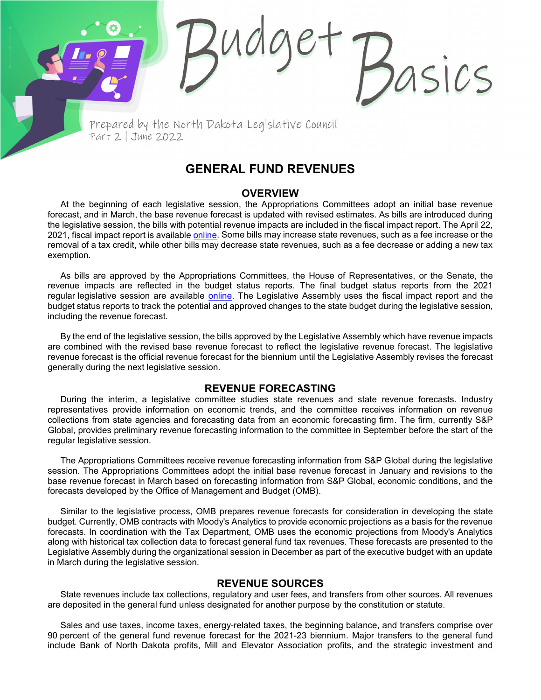Prepared by the North Dakota Legislative Council Part 2 | June 2022

# **GENERAL FUND REVENUES**

sics

#### **OVERVIEW**

At the beginning of each legislative session, the Appropriations Committees adopt an initial base revenue forecast, and in March, the base revenue forecast is updated with revised estimates. As bills are introduced during the legislative session, the bills with potential revenue impacts are included in the fiscal impact report. The April 22, 2021, fiscal impact report is available [online.](https://ndlegis.gov/files/fiscal/2021-23/docs/2021-23fiscalimpact.pdf) Some bills may increase state revenues, such as a fee increase or the removal of a tax credit, while other bills may decrease state revenues, such as a fee decrease or adding a new tax exemption.

As bills are approved by the Appropriations Committees, the House of Representatives, or the Senate, the revenue impacts are reflected in the budget status reports. The final budget status reports from the 2021 regular legislative session are available [online.](https://ndlegis.gov/fiscal/67-2021/budget-status) The Legislative Assembly uses the fiscal impact report and the budget status reports to track the potential and approved changes to the state budget during the legislative session, including the revenue forecast.

By the end of the legislative session, the bills approved by the Legislative Assembly which have revenue impacts are combined with the revised base revenue forecast to reflect the legislative revenue forecast. The legislative revenue forecast is the official revenue forecast for the biennium until the Legislative Assembly revises the forecast generally during the next legislative session.

### **REVENUE FORECASTING**

During the interim, a legislative committee studies state revenues and state revenue forecasts. Industry representatives provide information on economic trends, and the committee receives information on revenue collections from state agencies and forecasting data from an economic forecasting firm. The firm, currently S&P Global, provides preliminary revenue forecasting information to the committee in September before the start of the regular legislative session.

The Appropriations Committees receive revenue forecasting information from S&P Global during the legislative session. The Appropriations Committees adopt the initial base revenue forecast in January and revisions to the base revenue forecast in March based on forecasting information from S&P Global, economic conditions, and the forecasts developed by the Office of Management and Budget (OMB).

Similar to the legislative process, OMB prepares revenue forecasts for consideration in developing the state budget. Currently, OMB contracts with Moody's Analytics to provide economic projections as a basis for the revenue forecasts. In coordination with the Tax Department, OMB uses the economic projections from Moody's Analytics along with historical tax collection data to forecast general fund tax revenues. These forecasts are presented to the Legislative Assembly during the organizational session in December as part of the executive budget with an update in March during the legislative session.

## **REVENUE SOURCES**

State revenues include tax collections, regulatory and user fees, and transfers from other sources. All revenues are deposited in the general fund unless designated for another purpose by the constitution or statute.

Sales and use taxes, income taxes, energy-related taxes, the beginning balance, and transfers comprise over 90 percent of the general fund revenue forecast for the 2021-23 biennium. Major transfers to the general fund include Bank of North Dakota profits, Mill and Elevator Association profits, and the strategic investment and